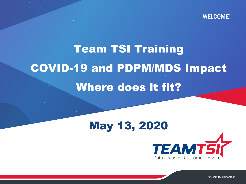### WELCOME!

# Team TSI Training COVID-19 and PDPM/MDS Impact Where does it fit?

### May 13, 2020**TEAMTS** Data Focused. Customer Driven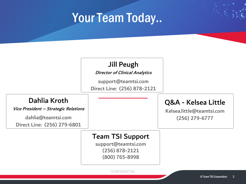### Your Team Today..



Director of Clinical Analytics

support@teamtsi.com Direct Line: (256) 878-2121

### Dahlia Kroth

Vice President – Strategic Relations

dahlia@teamtsi.com Direct Line: (256) 279-6801

### Q&A - Kelsea Little

Kelsea.little@teamtsi.com (256) 279-6777

### Team TSI Support

support@teamtsi.com (256) 878-2121 (800) 765-8998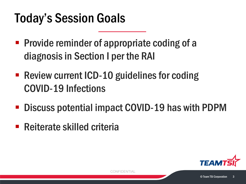## Today's Session Goals

- **Provide reminder of appropriate coding of a** diagnosis in Section I per the RAI
- Review current ICD-10 guidelines for coding COVID-19 Infections
- Discuss potential impact COVID-19 has with PDPM
- Reiterate skilled criteria

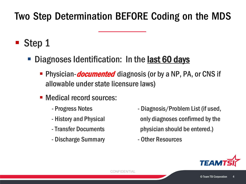### Two Step Determination BEFORE Coding on the MDS

- **Step 1** 
	- Diagnoses Identification: In the **last 60 days** 
		- **Physician-***documented* diagnosis (or by a NP, PA, or CNS if allowable under state licensure laws)
		- Medical record sources:
			-
			-
			-
			- Discharge Summary  **Other Resources**
			- Progress Notes  **Diagnosis/Problem List (if used,** - History and Physical only diagnoses confirmed by the -Transfer Documents physician should be entered.)
				-

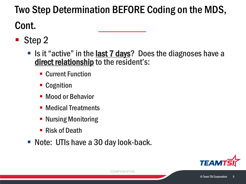### Two Step Determination BEFORE Coding on the MDS, Cont.

- Step 2
	- If Is it "active" in the last 7 days? Does the diagnoses have a direct relationship to the resident's:
		- **E** Current Function
		- **E** Cognition
		- **Mood or Behavior**
		- Medical Treatments
		- **Nursing Monitoring**
		- Risk of Death
	- Note: UTIs have a 30 day look-back.

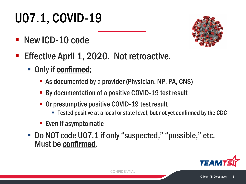# U07.1, COVID-19

**New ICD-10 code** 



- Effective April 1, 2020. Not retroactive.
	- Only if **confirmed**;
		- As documented by a provider (Physician, NP, PA, CNS)
		- By documentation of a positive COVID-19 test result
		- Or presumptive positive COVID-19 test result
			- Tested positive at a local or state level, but not yet confirmed by the CDC
		- Even if asymptomatic
	- Do NOT code U07.1 if only "suspected," "possible," etc. Must be confirmed.

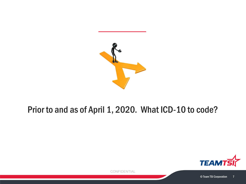

### Prior to and as of April 1, 2020. What ICD-10 to code?

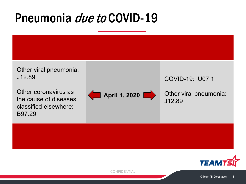### Pneumonia *due to* COVID-19



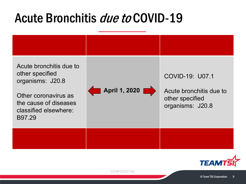### Acute Bronchitis *due to* COVID-19



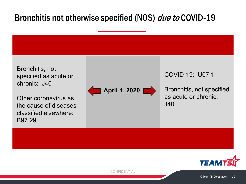### Bronchitis not otherwise specified (NOS) due to COVID-19



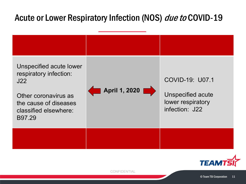### Acute or Lower Respiratory Infection (NOS) due to COVID-19



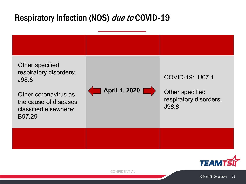### Respiratory Infection (NOS) due to COVID-19



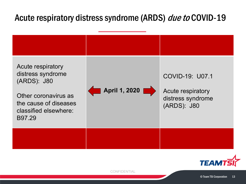### Acute respiratory distress syndrome (ARDS) due to COVID-19



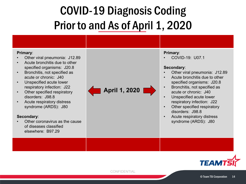### COVID-19 Diagnosis Coding Prior to and As of April 1, 2020

#### **Primary**:

- Other viral pneumonia: J12.89
- Acute bronchitis due to other specified organisms: J20.8
- Bronchitis, not specified as acute or chronic: J40
- Unspecified acute lower respiratory infection: J22
- Other specified respiratory disorders: J98.8
- Acute respiratory distress syndrome (ARDS): J80

#### **Secondary**:

• Other coronavirus as the cause of diseases classified elsewhere: B97.29

**April 1, 2020**

#### **Primary**:

• COVID-19: U07.1

#### **Secondary**:

- Other viral pneumonia: J12.89
- Acute bronchitis due to other specified organisms: J20.8
- Bronchitis, not specified as acute or chronic: J40
- Unspecified acute lower respiratory infection: J22
- Other specified respiratory disorders: J98.8
- Acute respiratory distress syndrome (ARDS): J80

**TEAM1**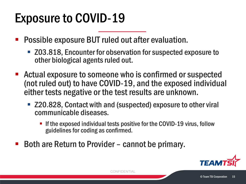## Exposure to COVID-19

- Possible exposure BUT ruled out after evaluation.
	- Z03.818, Encounter for observation for suspected exposure to other biological agents ruled out.
- Actual exposure to someone who is confirmed or suspected (not ruled out) to have COVID-19, and the exposed individual either tests negative or the test results are unknown.
	- Z20.828, Contact with and (suspected) exposure to other viral communicable diseases.
		- If the exposed individual tests positive for the COVID-19 virus, follow guidelines for coding as confirmed.
- Both are Return to Provider cannot be primary.

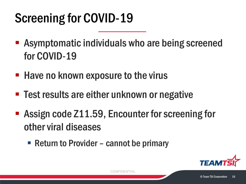# Screening for COVID-19

- **EXP** Asymptomatic individuals who are being screened for COVID-19
- **Have no known exposure to the virus**
- **Test results are either unknown or negative**
- **Assign code Z11.59, Encounter for screening for** other viral diseases
	- Return to Provider cannot be primary

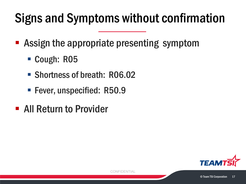# Signs and Symptoms without confirmation

- **Assign the appropriate presenting symptom** 
	- Cough: R05
	- Shortness of breath: R06.02
	- **Fever, unspecified: R50.9**
- **All Return to Provider**

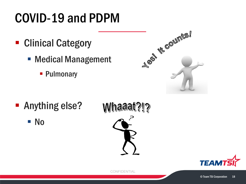## COVID-19 and PDPM

- Clinical Category
	- Medical Management
		- **Pulmonary**

| Les lie counts! |  |
|-----------------|--|

- **-** Anything else?
	- No



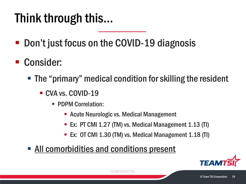## Think through this…

- Don't just focus on the COVID-19 diagnosis
- **Consider:** 
	- The "primary" medical condition for skilling the resident
		- CVA vs. COVID-19
			- **PDPM Correlation:** 
				- Acute Neurologic vs. Medical Management
				- **EX: PT CMI 1.27 (TM) vs. Medical Management 1.13 (TI)**
				- Ex: OT CMI 1.30 (TM) vs. Medical Management 1.18 (TI)
	- All comorbidities and conditions present

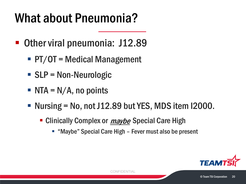## What about Pneumonia?

- Other viral pneumonia: J12.89
	- PT/OT = Medical Management
	- SLP = Non-Neurologic
	- $\blacksquare$  NTA = N/A, no points
	- Nursing =  $No$ , not J12.89 but YES, MDS item I2000.
		- Clinically Complex or *maybe* Special Care High
			- "Maybe" Special Care High Fever must also be present

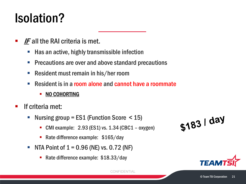## Isolation?

- $\blacksquare$  IF all the RAI criteria is met.
	- $\blacksquare$  Has an active, highly transmissible infection
	- **Precautions are over and above standard precautions**
	- Resident must remain in his/her room
	- **Resident is in a room alone and cannot have a roommate** 
		- NO COHORTING
- $\blacksquare$  If criteria met:
	- Nursing group =  $ES1$  (Function Score  $\leq 15$ )
		- CMI example: 2.93 (ES1) vs. 1.34 (CBC1 oxygen)
		- Rate difference example: \$165/day
	- NTA Point of  $1 = 0.96$  (NE) vs. 0.72 (NF)
		- Rate difference example: \$18.33/day



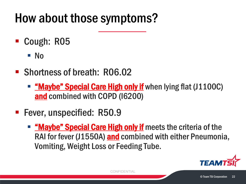## How about those symptoms?

- Cough: R05
	- No
- Shortness of breath: R06.02
	- **" "Maybe" Special Care High only if** when lying flat (J1100C) and combined with COPD (I6200)
- **Fever, unspecified: R50.9** 
	- **" "Maybe" Special Care High only if** meets the criteria of the RAI for fever (J1550A) and combined with either Pneumonia, Vomiting, Weight Loss or Feeding Tube.

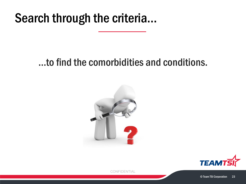### Search through the criteria...

### …to find the comorbidities and conditions.



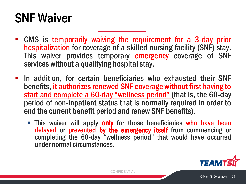## SNF Waiver

- **EXTER 19 CMS** is temporarily waiving the requirement for a 3-day prior<br>hospitalization for coverage of a skilled nursing facility (SNF) stay. This waiver provides temporary emergency coverage of SNF services without a qualifying hospital stay.
- **In addition, for certain beneficiaries who exhausted their SNF** benefits, it authorizes renewed SNF coverage without first having to start and complete a 60-day "wellness period" (that is, the 60-day period of non-inpatient status that is normally required in order to end the current benefit period and renew SNF benefits).
	- This waiver will apply only for those beneficiaries who have been delayed or prevented by the emergency itself from commencing or completing the 60-day "wellness period" that would have occurred under normal circumstances.

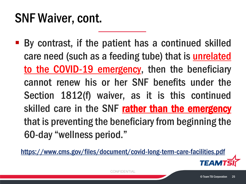## SNF Waiver, cont.

 By contrast, if the patient has a continued skilled care need (such as a feeding tube) that is unrelated to the COVID-19 emergency, then the beneficiary cannot renew his or her SNF benefits under the Section 1812(f) waiver, as it is this continued skilled care in the SNF rather than the emergency that is preventing the beneficiary from beginning the 60-day "wellness period."

<https://www.cms.gov/files/document/covid-long-term-care-facilities.pdf>

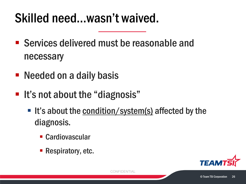## Skilled need…wasn't waived.

- Services delivered must be reasonable and necessary
- Needed on a daily basis
- **It's not about the "diagnosis"** 
	- It's about the condition/system(s) affected by the diagnosis.
		- Cardiovascular
		- **Respiratory, etc.**

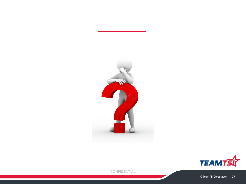